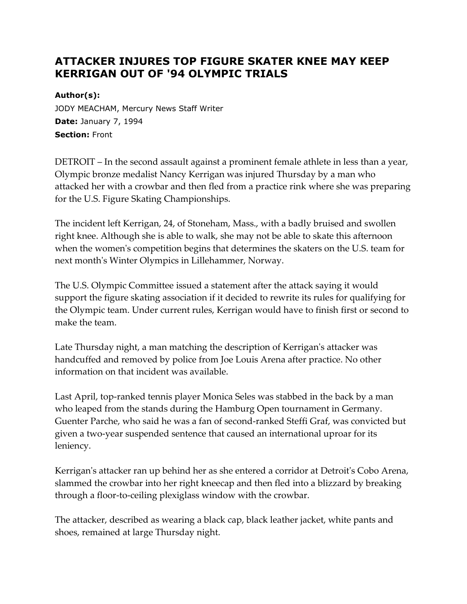## **ATTACKER INJURES TOP FIGURE SKATER KNEE MAY KEEP KERRIGAN OUT OF '94 OLYMPIC TRIALS**

**Author(s):**

JODY MEACHAM, Mercury News Staff Writer **Date:** January 7, 1994 **Section:** Front

DETROIT – In the second assault against a prominent female athlete in less than a year, Olympic bronze medalist Nancy Kerrigan was injured Thursday by a man who attacked her with a crowbar and then fled from a practice rink where she was preparing for the U.S. Figure Skating Championships.

The incident left Kerrigan, 24, of Stoneham, Mass., with a badly bruised and swollen right knee. Although she is able to walk, she may not be able to skate this afternoon when the women's competition begins that determines the skaters on the U.S. team for next month's Winter Olympics in Lillehammer, Norway.

The U.S. Olympic Committee issued a statement after the attack saying it would support the figure skating association if it decided to rewrite its rules for qualifying for the Olympic team. Under current rules, Kerrigan would have to finish first or second to make the team.

Late Thursday night, a man matching the description of Kerrigan's attacker was handcuffed and removed by police from Joe Louis Arena after practice. No other information on that incident was available.

Last April, top-ranked tennis player Monica Seles was stabbed in the back by a man who leaped from the stands during the Hamburg Open tournament in Germany. Guenter Parche, who said he was a fan of second-ranked Steffi Graf, was convicted but given a two-year suspended sentence that caused an international uproar for its leniency.

Kerrigan's attacker ran up behind her as she entered a corridor at Detroit's Cobo Arena, slammed the crowbar into her right kneecap and then fled into a blizzard by breaking through a floor-to-ceiling plexiglass window with the crowbar.

The attacker, described as wearing a black cap, black leather jacket, white pants and shoes, remained at large Thursday night.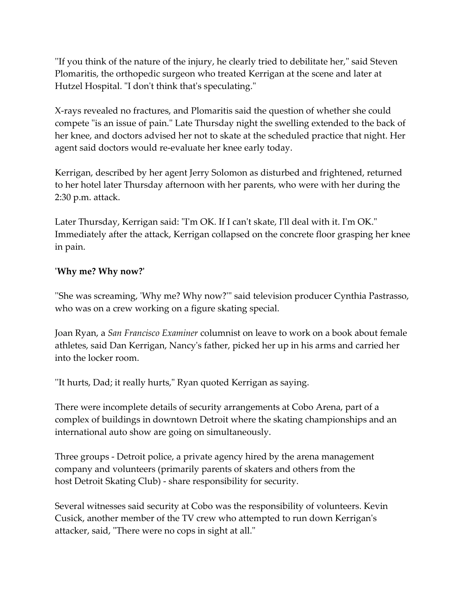''If you think of the nature of the injury, he clearly tried to debilitate her," said Steven Plomaritis, the orthopedic surgeon who treated Kerrigan at the scene and later at Hutzel Hospital. "I don't think that's speculating."

X-rays revealed no fractures, and Plomaritis said the question of whether she could compete "is an issue of pain." Late Thursday night the swelling extended to the back of her knee, and doctors advised her not to skate at the scheduled practice that night. Her agent said doctors would re-evaluate her knee early today.

Kerrigan, described by her agent Jerry Solomon as disturbed and frightened, returned to her hotel later Thursday afternoon with her parents, who were with her during the 2:30 p.m. attack.

Later Thursday, Kerrigan said: "I'm OK. If I can't skate, I'll deal with it. I'm OK." Immediately after the attack, Kerrigan collapsed on the concrete floor grasping her knee in pain.

## **'Why me? Why now?'**

''She was screaming, 'Why me? Why now?'" said television producer Cynthia Pastrasso, who was on a crew working on a figure skating special.

Joan Ryan, a *San Francisco Examiner* columnist on leave to work on a book about female athletes, said Dan Kerrigan, Nancy's father, picked her up in his arms and carried her into the locker room.

''It hurts, Dad; it really hurts," Ryan quoted Kerrigan as saying.

There were incomplete details of security arrangements at Cobo Arena, part of a complex of buildings in downtown Detroit where the skating championships and an international auto show are going on simultaneously.

Three groups - Detroit police, a private agency hired by the arena management company and volunteers (primarily parents of skaters and others from the host Detroit Skating Club) - share responsibility for security.

Several witnesses said security at Cobo was the responsibility of volunteers. Kevin Cusick, another member of the TV crew who attempted to run down Kerrigan's attacker, said, "There were no cops in sight at all."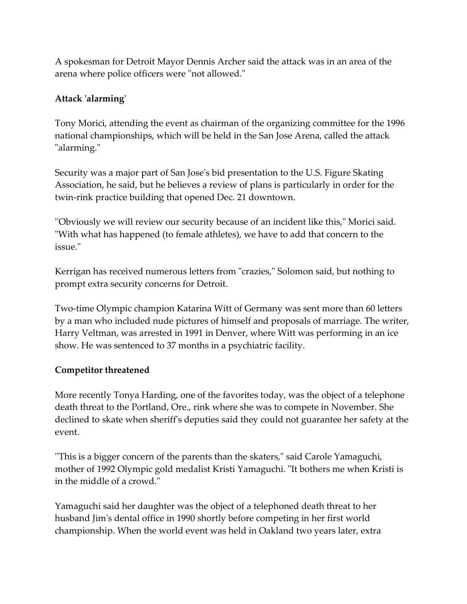A spokesman for Detroit Mayor Dennis Archer said the attack was in an area of the arena where police officers were "not allowed."

## **Attack 'alarming'**

Tony Morici, attending the event as chairman of the organizing committee for the 1996 national championships, which will be held in the San Jose Arena, called the attack "alarming."

Security was a major part of San Jose's bid presentation to the U.S. Figure Skating Association, he said, but he believes a review of plans is particularly in order for the twin-rink practice building that opened Dec. 21 downtown.

''Obviously we will review our security because of an incident like this," Morici said. "With what has happened (to female athletes), we have to add that concern to the issue."

Kerrigan has received numerous letters from "crazies," Solomon said, but nothing to prompt extra security concerns for Detroit.

Two-time Olympic champion Katarina Witt of Germany was sent more than 60 letters by a man who included nude pictures of himself and proposals of marriage. The writer, Harry Veltman, was arrested in 1991 in Denver, where Witt was performing in an ice show. He was sentenced to 37 months in a psychiatric facility.

## **Competitor threatened**

More recently Tonya Harding, one of the favorites today, was the object of a telephone death threat to the Portland, Ore., rink where she was to compete in November. She declined to skate when sheriff's deputies said they could not guarantee her safety at the event.

''This is a bigger concern of the parents than the skaters," said Carole Yamaguchi, mother of 1992 Olympic gold medalist Kristi Yamaguchi. "It bothers me when Kristi is in the middle of a crowd."

Yamaguchi said her daughter was the object of a telephoned death threat to her husband Jim's dental office in 1990 shortly before competing in her first world championship. When the world event was held in Oakland two years later, extra